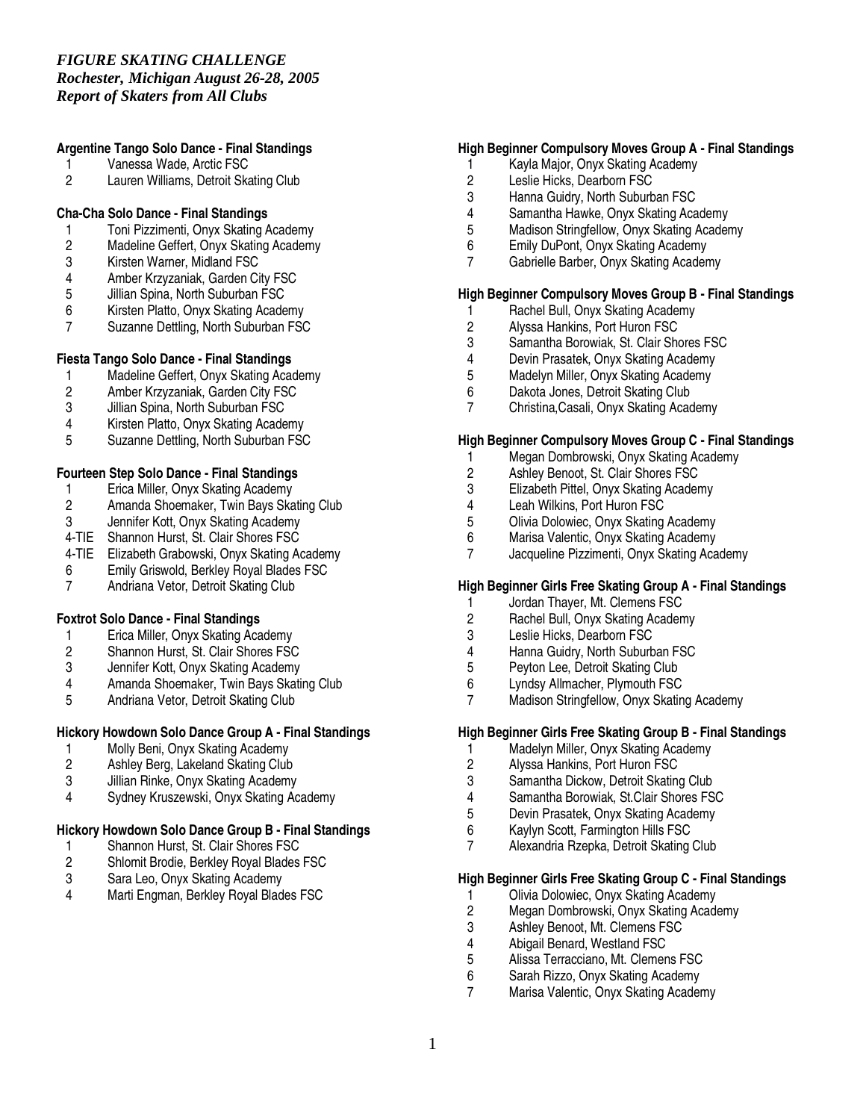#### *Rochester, Michigan August 26-28, 2005 Report of Skaters from All Clubs*

# **Argentine Tango Solo Dance - Final Standings**

- 1 Vanessa Wade, Arctic FSC<br>2 Lauren Williams. Detroit Ska
- Lauren Williams, Detroit Skating Club

# **Cha-Cha Solo Dance - Final Standings**

- 1 Toni Pizzimenti, Onyx Skating Academy<br>2 Madeline Geffert, Onyx Skating Academy
- 2 Madeline Geffert, Onyx Skating Academy
- 3 Kirsten Warner, Midland FSC
- 4 Amber Krzyzaniak, Garden City FSC<br>5 Jillian Spina, North Suburban FSC
- 5 Jillian Spina, North Suburban FSC<br>6 Kirsten Platto, Onyx Skating Acade
- 6 Kirsten Platto, Onyx Skating Academy
- Suzanne Dettling, North Suburban FSC

# **Fiesta Tango Solo Dance - Final Standings**

- 1 Madeline Geffert, Onyx Skating Academy<br>2 Amber Krzyzaniak, Garden City FSC
- 2 Amber Krzyzaniak, Garden City FSC<br>3 Jillian Spina, North Suburban FSC
- Jillian Spina, North Suburban FSC
- 4 Kirsten Platto, Onyx Skating Academy
- 5 Suzanne Dettling, North Suburban FSC

# **Fourteen Step Solo Dance - Final Standings**

- 1 Erica Miller, Onyx Skating Academy<br>2 Amanda Shoemaker, Twin Bays Ska
- 2 Amanda Shoemaker, Twin Bays Skating Club<br>3 Jennifer Kott. Onvx Skating Academy
- Jennifer Kott, Onyx Skating Academy
- 4-TIE Shannon Hurst, St. Clair Shores FSC
- 4-TIE Elizabeth Grabowski, Onyx Skating Academy
- 6 Emily Griswold, Berkley Royal Blades FSC
- 7 Andriana Vetor, Detroit Skating Club

# **Foxtrot Solo Dance - Final Standings**

- 1 Erica Miller, Onyx Skating Academy
- 2 Shannon Hurst, St. Clair Shores FSC<br>3 Jennifer Kott, Onyx Skating Academy
- 3 Jennifer Kott, Onyx Skating Academy<br>4 Amanda Shoemaker. Twin Bavs Skati
- 4 Amanda Shoemaker, Twin Bays Skating Club
- 5 Andriana Vetor, Detroit Skating Club

# **Hickory Howdown Solo Dance Group A - Final Standings**

- 1 Molly Beni, Onyx Skating Academy<br>2 Ashlev Berg. Lakeland Skating Club
- 2 Ashley Berg, Lakeland Skating Club<br>3 Jillian Rinke, Onvx Skating Academy
- 3 Jillian Rinke, Onyx Skating Academy
- 4 Sydney Kruszewski, Onyx Skating Academy

# **Hickory Howdown Solo Dance Group B - Final Standings**

- 1 Shannon Hurst, St. Clair Shores FSC<br>2 Shlomit Brodie, Berkley Royal Blades
- 2 Shlomit Brodie, Berkley Royal Blades FSC<br>3 Sara Leo. Onvx Skating Academy
- 3 Sara Leo, Onyx Skating Academy<br>4 Marti Engman Berkley Royal Blad
- Marti Engman, Berkley Royal Blades FSC

# **High Beginner Compulsory Moves Group A - Final Standings**

- 1 Kayla Major, Onyx Skating Academy<br>2 Leslie Hicks. Dearborn FSC
- 2 Leslie Hicks, Dearborn FSC<br>3 Hanna Guidry. North Suburb
- Hanna Guidry, North Suburban FSC
- 4 Samantha Hawke, Onyx Skating Academy
- 5 Madison Stringfellow, Onyx Skating Academy
- 6 Emily DuPont, Onyx Skating Academy
- 7 Gabrielle Barber, Onyx Skating Academy

# **High Beginner Compulsory Moves Group B - Final Standings**

- 1 Rachel Bull, Onyx Skating Academy<br>2 Alyssa Hankins, Port Huron FSC
- 2 Alyssa Hankins, Port Huron FSC<br>3 Samantha Borowiak, St. Clair She
- 3 Samantha Borowiak, St. Clair Shores FSC
- 4 Devin Prasatek, Onyx Skating Academy<br>5 Madelyn Miller. Onyx Skating Academy
- 5 Madelyn Miller, Onyx Skating Academy<br>6 Dakota Jones, Detroit Skating Club
- 6 Dakota Jones, Detroit Skating Club<br>7 Christina Casali, Onvx Skating Acad
- 7 Christina,Casali, Onyx Skating Academy

# **High Beginner Compulsory Moves Group C - Final Standings**

- 1 Megan Dombrowski, Onyx Skating Academy
- 2 Ashley Benoot, St. Clair Shores FSC
- 3 Elizabeth Pittel, Onyx Skating Academy
- 4 Leah Wilkins, Port Huron FSC<br>5 Olivia Dolowiec, Onyx Skating
- 5 Olivia Dolowiec, Onyx Skating Academy
- 6 Marisa Valentic, Onyx Skating Academy
- Jacqueline Pizzimenti, Onyx Skating Academy

# **High Beginner Girls Free Skating Group A - Final Standings**

- 1 Jordan Thayer, Mt. Clemens FSC<br>2 Rachel Bull. Onvx Skating Acaden
- Rachel Bull, Onyx Skating Academy
- 3 Leslie Hicks, Dearborn FSC
- 4 Hanna Guidry, North Suburban FSC<br>5 Pevton Lee. Detroit Skating Club
- 5 Peyton Lee, Detroit Skating Club<br>6 Lyndsy Allmacher, Plymouth FSC
- 6 Lyndsy Allmacher, Plymouth FSC
- Madison Stringfellow, Onyx Skating Academy

# **High Beginner Girls Free Skating Group B - Final Standings**

- 1 Madelyn Miller, Onyx Skating Academy<br>2 Alvssa Hankins, Port Huron FSC
- 2 Alyssa Hankins, Port Huron FSC<br>3 Samantha Dickow, Detroit Skating
- Samantha Dickow, Detroit Skating Club
- 4 Samantha Borowiak, St.Clair Shores FSC
- 5 Devin Prasatek, Onyx Skating Academy<br>6 Kaylyn Scott Farmington Hills FSC
- 6 Kaylyn Scott, Farmington Hills FSC<br>7 Alexandria Rzenka Detroit Skating
- 7 Alexandria Rzepka, Detroit Skating Club

# **High Beginner Girls Free Skating Group C - Final Standings**

- 1 Olivia Dolowiec, Onyx Skating Academy<br>2 Megan Dombrowski, Onyx Skating Acade
- 2 Megan Dombrowski, Onyx Skating Academy
- 3 Ashley Benoot, Mt. Clemens FSC<br>4 Abigail Benard. Westland FSC
- 4 Abigail Benard, Westland FSC<br>5 Alissa Terracciano. Mt. Clemer
- 5 Alissa Terracciano, Mt. Clemens FSC
- 6 Sarah Rizzo, Onyx Skating Academy
- Marisa Valentic, Onyx Skating Academy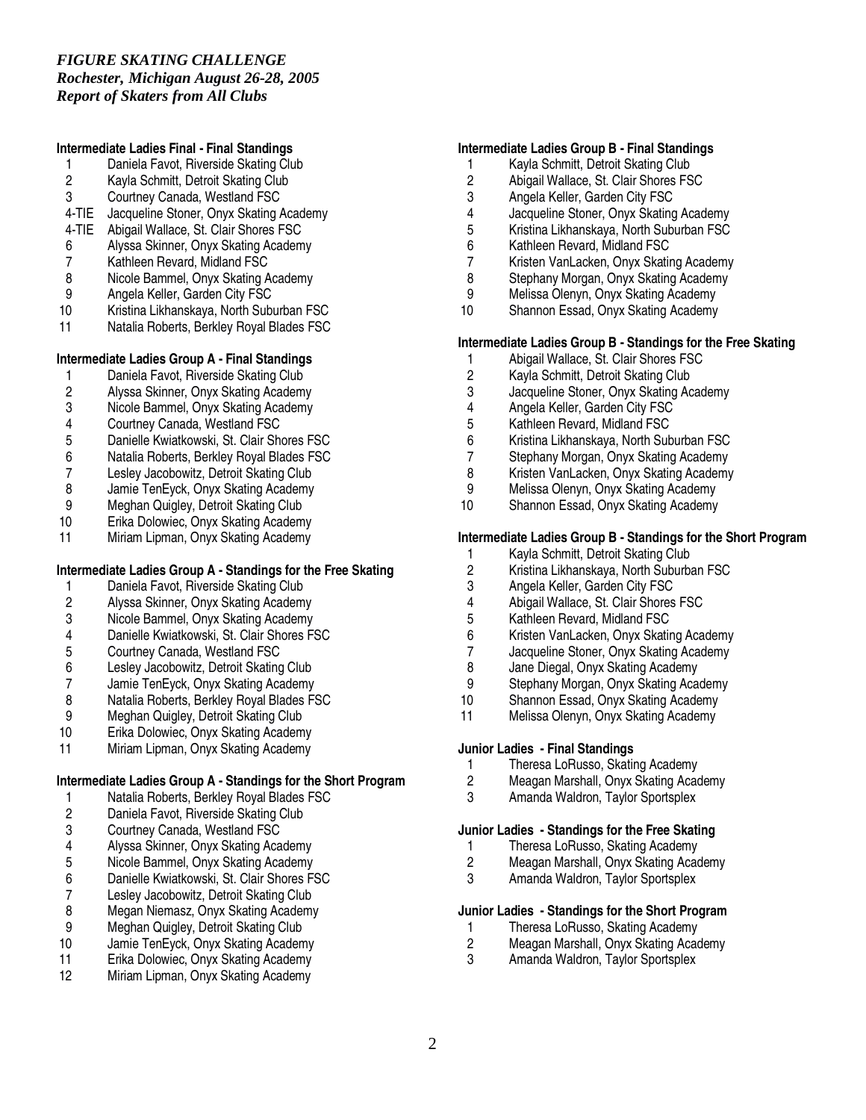# *FIGURE SKATING CHALLENGE Rochester, Michigan August 26-28, 2005 Report of Skaters from All Clubs*

# **Intermediate Ladies Final - Final Standings**

- 1 Daniela Favot, Riverside Skating Club<br>2 Kavla Schmitt. Detroit Skating Club
- 2 Kayla Schmitt, Detroit Skating Club<br>3 Courtney Canada. Westland FSC
- Courtney Canada, Westland FSC
- 4-TIE Jacqueline Stoner, Onyx Skating Academy
- 4-TIE Abigail Wallace, St. Clair Shores FSC
- 6 Alyssa Skinner, Onyx Skating Academy
- 7 Kathleen Revard, Midland FSC
- 8 Nicole Bammel, Onyx Skating Academy<br>9 Angela Keller, Garden City FSC
- 9 Angela Keller, Garden City FSC<br>10 Kristina Likhanskaya, North Sub
- 10 Kristina Likhanskaya, North Suburban FSC
- Natalia Roberts, Berkley Royal Blades FSC

# **Intermediate Ladies Group A - Final Standings**

- 1 Daniela Favot, Riverside Skating Club<br>2 Alvssa Skinner. Onvx Skating Academy
- 2 Alyssa Skinner, Onyx Skating Academy
- 3 Nicole Bammel, Onyx Skating Academy<br>4 Courtney Canada, Westland FSC
- 
- 4 Courtney Canada, Westland FSC<br>5 Danielle Kwiatkowski, St. Clair Sh
- 5 Danielle Kwiatkowski, St. Clair Shores FSC 6 Natalia Roberts, Berkley Royal Blades FSC
- 7 Lesley Jacobowitz, Detroit Skating Club
- 
- 8 Jamie TenEyck, Onyx Skating Academy<br>9 Meghan Quigley, Detroit Skating Club
- 9 Meghan Quigley, Detroit Skating Club<br>10 Erika Dolowiec, Onyx Skating Academ Erika Dolowiec, Onyx Skating Academy
- 11 Miriam Lipman, Onyx Skating Academy

# **Intermediate Ladies Group A - Standings for the Free Skating**

- 
- 1 Daniela Favot, Riverside Skating Club<br>2 Alyssa Skinner, Onyx Skating Academy 2 Alyssa Skinner, Onyx Skating Academy
- Nicole Bammel, Onyx Skating Academy
- 4 Danielle Kwiatkowski, St. Clair Shores FSC
- 
- 5 Courtney Canada, Westland FSC<br>6 Lesley Jacobowitz, Detroit Skating 6 Lesley Jacobowitz, Detroit Skating Club
- 
- 7 Jamie TenEyck, Onyx Skating Academy<br>8 Natalia Roberts, Berkley Royal Blades F. 8 Natalia Roberts, Berkley Royal Blades FSC<br>9 Meghan Quigley, Detroit Skating Club
- 
- 9 Meghan Quigley, Detroit Skating Club<br>10 Erika Dolowiec. Onvx Skating Academ Erika Dolowiec, Onyx Skating Academy
- 11 Miriam Lipman, Onyx Skating Academy

# **Intermediate Ladies Group A - Standings for the Short Program**

- 1 Natalia Roberts, Berkley Royal Blades FSC<br>2 Daniela Favot, Riverside Skating Club
- 2 Daniela Favot, Riverside Skating Club<br>3 Courtney Canada. Westland FSC
- 3 Courtney Canada, Westland FSC<br>4 Alyssa Skinner. Onvx Skating Aca
- 4 Alyssa Skinner, Onyx Skating Academy
- 5 Nicole Bammel, Onyx Skating Academy<br>6 Danielle Kwiatkowski, St. Clair Shores F.
- 6 Danielle Kwiatkowski, St. Clair Shores FSC
- 7 Lesley Jacobowitz, Detroit Skating Club<br>8 Megan Niemasz, Onyx Skating Academy
- 8 Megan Niemasz, Onyx Skating Academy<br>9 Meghan Quigley, Detroit Skating Club
- 9 Meghan Quigley, Detroit Skating Club<br>10 Jamie TenEvck. Onvx Skating Academ
- Jamie TenEyck, Onyx Skating Academy
- 11 Erika Dolowiec, Onyx Skating Academy
- 12 Miriam Lipman, Onyx Skating Academy

# **Intermediate Ladies Group B - Final Standings**

- 1 Kayla Schmitt, Detroit Skating Club<br>2 Abigail Wallace, St. Clair Shores FS
- 2 Abigail Wallace, St. Clair Shores FSC<br>3 Angela Keller. Garden City FSC
- Angela Keller, Garden City FSC
- 
- 4 Jacqueline Stoner, Onyx Skating Academy 5 Kristina Likhanskaya, North Suburban FSC<br>6 Kathleen Revard. Midland FSC
- 6 Kathleen Revard, Midland FSC
- 7 Kristen VanLacken, Onyx Skating Academy
- 8 Stephany Morgan, Onyx Skating Academy<br>9 Melissa Olenyn Onyx Skating Academy
- 9 Melissa Olenyn, Onyx Skating Academy
- 10 Shannon Essad, Onyx Skating Academy

# **Intermediate Ladies Group B - Standings for the Free Skating**

- 1 Abigail Wallace, St. Clair Shores FSC<br>2 Kavla Schmitt. Detroit Skating Club
- 2 Kayla Schmitt, Detroit Skating Club<br>3 Jacqueline Stoner. Onvx Skating Ac
- 3 Jacqueline Stoner, Onyx Skating Academy<br>4 Angela Keller, Garden City FSC
- 
- 4 Angela Keller, Garden City FSC<br>5 Kathleen Revard, Midland FSC 5 Kathleen Revard, Midland FSC
- 
- 6 Kristina Likhanskaya, North Suburban FSC
- 7 Stephany Morgan, Onyx Skating Academy<br>8 Kristen VanLacken, Onyx Skating Academy Kristen VanLacken, Onyx Skating Academy
- 
- 9 Melissa Olenyn, Onyx Skating Academy<br>10 Shannon Essad. Onvx Skating Academy Shannon Essad, Onyx Skating Academy

# **Intermediate Ladies Group B - Standings for the Short Program**

- 
- 1 Kayla Schmitt, Detroit Skating Club<br>2 Kristina Likhanskava. North Suburba 2 Kristina Likhanskaya, North Suburban FSC<br>3 Angela Keller, Garden City FSC
- 3 Angela Keller, Garden City FSC
- 4 Abigail Wallace, St. Clair Shores FSC<br>5 Kathleen Revard. Midland FSC
- 5 Kathleen Revard, Midland FSC
- 6 Kristen VanLacken, Onyx Skating Academy
- 7 Jacqueline Stoner, Onyx Skating Academy
- 8 Jane Diegal, Onyx Skating Academy<br>9 Stephany Morgan, Onyx Skating Aca
- 9 Stephany Morgan, Onyx Skating Academy<br>10 Shannon Essad, Onyx Skating Academy
- 10 Shannon Essad, Onyx Skating Academy<br>11 Melissa Olenvn. Onvx Skating Academy
- Melissa Olenyn, Onyx Skating Academy

# **Junior Ladies - Final Standings**

- 1 Theresa LoRusso, Skating Academy<br>2 Meagan Marshall. Onvx Skating Acad
- 2 Meagan Marshall, Onyx Skating Academy
- 3 Amanda Waldron, Taylor Sportsplex

#### **Junior Ladies - Standings for the Free Skating**

- 1 Theresa LoRusso, Skating Academy<br>2 Meagan Marshall, Onyx Skating Aca
- 2 Meagan Marshall, Onyx Skating Academy
- Amanda Waldron, Taylor Sportsplex

# **Junior Ladies - Standings for the Short Program**

- 1 Theresa LoRusso, Skating Academy<br>2 Meagan Marshall. Onvx Skating Acad
- 2 Meagan Marshall, Onyx Skating Academy
- Amanda Waldron, Taylor Sportsplex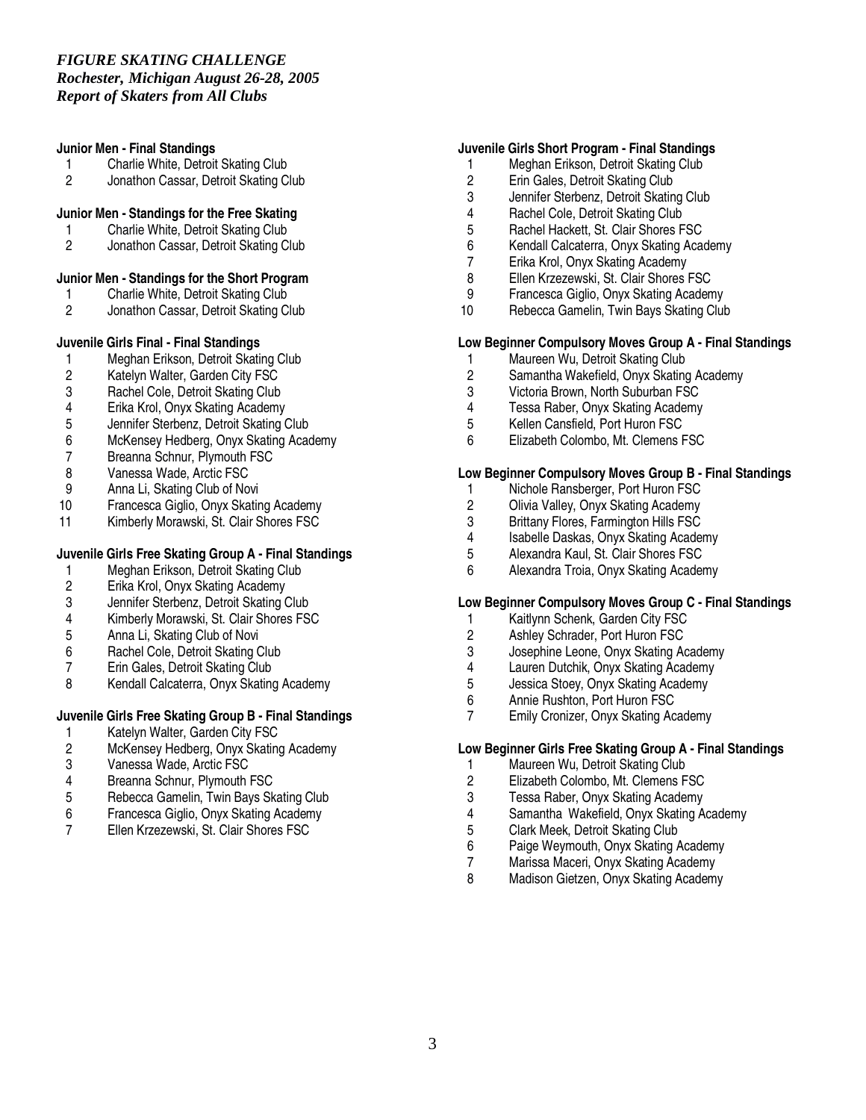#### **Junior Men - Final Standings**

- 1 Charlie White, Detroit Skating Club<br>2 Jonathon Cassar. Detroit Skating Cl
- 2 Jonathon Cassar, Detroit Skating Club

# **Junior Men - Standings for the Free Skating**

- 1 Charlie White, Detroit Skating Club<br>2 Jonathon Cassar. Detroit Skating Cl
- 2 Jonathon Cassar, Detroit Skating Club
- **Junior Men - Standings for the Short Program**
- 1 Charlie White, Detroit Skating Club<br>2 Jonathon Cassar, Detroit Skating C
- 2 Jonathon Cassar, Detroit Skating Club

# **Juvenile Girls Final - Final Standings**

- 1 Meghan Erikson, Detroit Skating Club<br>2 Katelyn Walter. Garden City FSC
- 2 Katelyn Walter, Garden City FSC<br>3 Rachel Cole. Detroit Skating Club
- 
- 3 Rachel Cole, Detroit Skating Club<br>4 Erika Krol. Onvx Skating Academy
- 4 Erika Krol, Onyx Skating Academy<br>5 Jennifer Sterbenz, Detroit Skating ( 5 Jennifer Sterbenz, Detroit Skating Club
- 6 McKensey Hedberg, Onyx Skating Academy
- Breanna Schnur, Plymouth FSC
- 8 Vanessa Wade, Arctic FSC
- 
- 9 Anna Li, Skating Club of Novi<br>10 Francesca Giglio, Onvx Skatir
- 10 Francesca Giglio, Onyx Skating Academy<br>11 Kimberly Morawski, St. Clair Shores FSC Kimberly Morawski, St. Clair Shores FSC

# **Juvenile Girls Free Skating Group A - Final Standings**

- 1 Meghan Erikson, Detroit Skating Club<br>2 Erika Krol. Onvx Skating Academy
- 2 Erika Krol, Onyx Skating Academy
- 3 Jennifer Sterbenz, Detroit Skating Club<br>4 Kimberly Morawski, St. Clair Shores FS
- Kimberly Morawski, St. Clair Shores FSC
- 5 Anna Li, Skating Club of Novi
- 6 Rachel Cole, Detroit Skating Club<br>7 Erin Gales, Detroit Skating Club
- 7 Erin Gales, Detroit Skating Club<br>8 Kendall Calcaterra, Onvx Skating
- Kendall Calcaterra, Onyx Skating Academy

# **Juvenile Girls Free Skating Group B - Final Standings**

- 1 Katelyn Walter, Garden City FSC<br>2 McKensev Hedberg, Onvx Skating
- 2 McKensey Hedberg, Onyx Skating Academy
- 3 Vanessa Wade, Arctic FSC
- 4 Breanna Schnur, Plymouth FSC<br>5 Rebecca Gamelin, Twin Bays Sk
- 5 Rebecca Gamelin, Twin Bays Skating Club
- 6 Francesca Giglio, Onyx Skating Academy
- 7 Ellen Krzezewski, St. Clair Shores FSC

#### **Juvenile Girls Short Program - Final Standings**

- 1 Meghan Erikson, Detroit Skating Club<br>2 Erin Gales. Detroit Skating Club
- 2 Erin Gales, Detroit Skating Club<br>3 Jennifer Sterbenz. Detroit Skatin
- Jennifer Sterbenz, Detroit Skating Club
- 4 Rachel Cole, Detroit Skating Club<br>5 Rachel Hackett, St. Clair Shores F
- 5 Rachel Hackett, St. Clair Shores FSC<br>6 Kendall Calcaterra. Onvx Skating Aca
- 6 Kendall Calcaterra, Onyx Skating Academy
- 7 Erika Krol, Onyx Skating Academy
- 8 Ellen Krzezewski, St. Clair Shores FSC<br>9 Francesca Giglio Onyx Skating Academ
- 9 Francesca Giglio, Onyx Skating Academy
- 10 Rebecca Gamelin, Twin Bays Skating Club

#### **Low Beginner Compulsory Moves Group A - Final Standings**

- 1 Maureen Wu, Detroit Skating Club<br>2 Samantha Wakefield, Onvx Skating
- 2 Samantha Wakefield, Onyx Skating Academy
- 3 Victoria Brown, North Suburban FSC<br>4 Tessa Raber, Onyx Skating Academy
- 4 Tessa Raber, Onyx Skating Academy<br>5 Kellen Cansfield, Port Huron FSC
- 5 Kellen Cansfield, Port Huron FSC
- 6 Elizabeth Colombo, Mt. Clemens FSC

# **Low Beginner Compulsory Moves Group B - Final Standings**

- 1 Nichole Ransberger, Port Huron FSC<br>2 Olivia Valley, Onyx Skating Academy
- 2 Olivia Valley, Onyx Skating Academy<br>3 Brittany Flores, Farmington Hills FSC
- 3 Brittany Flores, Farmington Hills FSC<br>4 Isabelle Daskas, Onyx Skating Acade
- 4 Isabelle Daskas, Onyx Skating Academy<br>5 Alexandra Kaul, St. Clair Shores FSC
- 5 Alexandra Kaul, St. Clair Shores FSC<br>6 Alexandra Troia. Onvx Skating Acader
- 6 Alexandra Troia, Onyx Skating Academy

# **Low Beginner Compulsory Moves Group C - Final Standings**

- 1 Kaitlynn Schenk, Garden City FSC
- 2 Ashley Schrader, Port Huron FSC
- 3 Josephine Leone, Onyx Skating Academy
- 4 Lauren Dutchik, Onyx Skating Academy<br>5 Jessica Stoev. Onvx Skating Academy
- 5 Jessica Stoey, Onyx Skating Academy<br>6 Annie Rushton, Port Huron FSC
- 6 Annie Rushton, Port Huron FSC
- 7 Emily Cronizer, Onyx Skating Academy

# **Low Beginner Girls Free Skating Group A - Final Standings**

- 1 Maureen Wu, Detroit Skating Club<br>2 Elizabeth Colombo. Mt. Clemens F
- 2 Elizabeth Colombo, Mt. Clemens FSC
- 3 Tessa Raber, Onyx Skating Academy
- 4 Samantha Wakefield, Onyx Skating Academy
- 5 Clark Meek, Detroit Skating Club<br>6 Paige Weymouth. Onvx Skating A
- 6 Paige Weymouth, Onyx Skating Academy
- 7 Marissa Maceri, Onyx Skating Academy<br>8 Madison Gietzen, Onyx Skating Academy
- Madison Gietzen, Onyx Skating Academy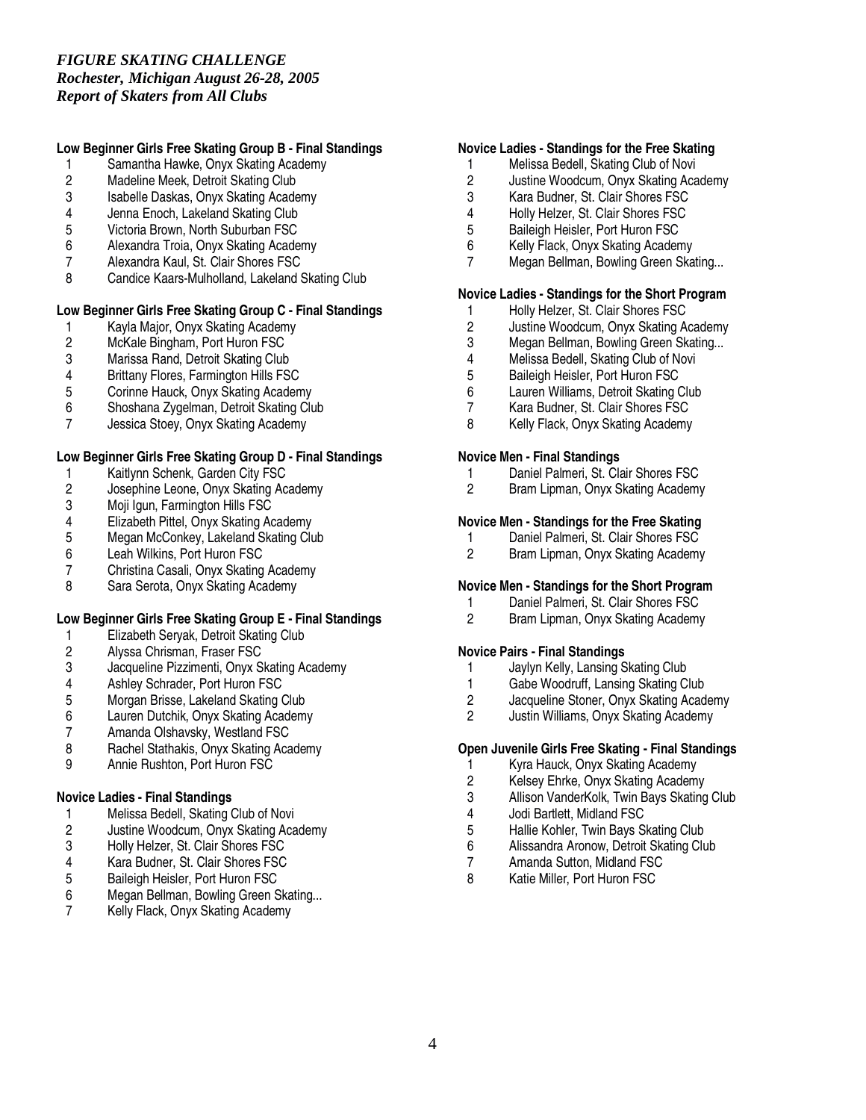# *FIGURE SKATING CHALLENGE Rochester, Michigan August 26-28, 2005 Report of Skaters from All Clubs*

# **Low Beginner Girls Free Skating Group B - Final Standings**

- 1 Samantha Hawke, Onyx Skating Academy
- 2 Madeline Meek, Detroit Skating Club<br>3 Isabelle Daskas. Onvx Skating Acade
- Isabelle Daskas, Onyx Skating Academy
- 4 Jenna Enoch, Lakeland Skating Club<br>5 Victoria Brown, North Suburban FSC
- 5 Victoria Brown, North Suburban FSC<br>6 Alexandra Troia, Onvx Skating Acade
- 6 Alexandra Troia, Onyx Skating Academy
- 7 Alexandra Kaul, St. Clair Shores FSC
- 8 Candice Kaars-Mulholland, Lakeland Skating Club

# **Low Beginner Girls Free Skating Group C - Final Standings**

- 1 Kayla Major, Onyx Skating Academy<br>2 McKale Bingham, Port Huron FSC
- 2 McKale Bingham, Port Huron FSC<br>3 Marissa Rand, Detroit Skating Club
- 3 Marissa Rand, Detroit Skating Club<br>4 Brittany Flores. Farmington Hills FS
- 4 Brittany Flores, Farmington Hills FSC<br>5 Corinne Hauck. Onvx Skating Academ
- 5 Corinne Hauck, Onyx Skating Academy<br>6 Shoshana Zvgelman, Detroit Skating Clu
- 6 Shoshana Zygelman, Detroit Skating Club
- Jessica Stoey, Onyx Skating Academy

# **Low Beginner Girls Free Skating Group D - Final Standings**

- 1 Kaitlynn Schenk, Garden City FSC<br>2 Josephine Leone, Onyx Skating Ac
- 2 Josephine Leone, Onyx Skating Academy<br>3 Moji Igun, Farmington Hills FSC
- 3 Moji Igun, Farmington Hills FSC<br>4 Elizabeth Pittel, Onyx Skating Ad
- 4 Elizabeth Pittel, Onyx Skating Academy<br>5 Megan McConkey, Lakeland Skating Clu
- 5 Megan McConkey, Lakeland Skating Club<br>6 Leah Wilkins, Port Huron FSC
- 6 Leah Wilkins, Port Huron FSC<br>7 Christina Casali, Onvx Skating
- 7 Christina Casali, Onyx Skating Academy
- Sara Serota, Onyx Skating Academy

# **Low Beginner Girls Free Skating Group E - Final Standings**

- 1 Elizabeth Seryak, Detroit Skating Club
- 2 Alyssa Chrisman, Fraser FSC
- 3 Jacqueline Pizzimenti, Onyx Skating Academy
- 
- 4 Ashley Schrader, Port Huron FSC<br>5 Morgan Brisse, Lakeland Skating ( 5 Morgan Brisse, Lakeland Skating Club<br>6 Lauren Dutchik, Onyx Skating Academy
- 6 Lauren Dutchik, Onyx Skating Academy<br>7 Amanda Olshavsky. Westland FSC
- 7 Amanda Olshavsky, Westland FSC<br>8 Rachel Stathakis. Onvx Skating Aca
- 8 Rachel Stathakis, Onyx Skating Academy<br>9 Annie Rushton. Port Huron FSC
- 9 Annie Rushton, Port Huron FSC

# **Novice Ladies - Final Standings**

- 
- 1 Melissa Bedell, Skating Club of Novi<br>2 Justine Woodcum, Onyx Skating Aca 2 Justine Woodcum, Onyx Skating Academy
- 3 Holly Helzer, St. Clair Shores FSC
- 4 Kara Budner, St. Clair Shores FSC<br>5 Baileigh Heisler, Port Huron FSC
- 5 Baileigh Heisler, Port Huron FSC<br>6 Megan Bellman, Bowling Green S
- Megan Bellman, Bowling Green Skating...
- 7 Kelly Flack, Onyx Skating Academy

#### **Novice Ladies - Standings for the Free Skating**

- 1 Melissa Bedell, Skating Club of Novi<br>2 Justine Woodcum. Onvx Skating Aca
- 2 Justine Woodcum, Onyx Skating Academy<br>3 Kara Budner. St. Clair Shores FSC
- Kara Budner, St. Clair Shores FSC
- 4 Holly Helzer, St. Clair Shores FSC<br>5 Baileigh Heisler, Port Huron FSC
- 5 Baileigh Heisler, Port Huron FSC<br>6 Kelly Flack. Onvx Skating Acaden
- 6 Kelly Flack, Onyx Skating Academy
- 7 Megan Bellman, Bowling Green Skating...

# **Novice Ladies - Standings for the Short Program**

- 1 Holly Helzer, St. Clair Shores FSC<br>2 Justine Woodcum, Onyx Skating A
- 2 Justine Woodcum, Onyx Skating Academy<br>3 Megan Bellman, Bowling Green Skating...
- 3 Megan Bellman, Bowling Green Skating...<br>4 Melissa Bedell. Skating Club of Novi
- 4 Melissa Bedell, Skating Club of Novi<br>5 Baileigh Heisler, Port Huron FSC
- 5 Baileigh Heisler, Port Huron FSC<br>6 Lauren Williams, Detroit Skating (
- 6 Lauren Williams, Detroit Skating Club
- Kara Budner, St. Clair Shores FSC
- 8 Kelly Flack, Onyx Skating Academy

#### **Novice Men - Final Standings**

- 1 Daniel Palmeri, St. Clair Shores FSC<br>2 Bram Lipman. Onvx Skating Academy
- 2 Bram Lipman, Onyx Skating Academy

# **Novice Men - Standings for the Free Skating**

- 1 Daniel Palmeri, St. Clair Shores FSC<br>2 Bram Lipman. Onvx Skating Academy
- 2 Bram Lipman, Onyx Skating Academy

#### **Novice Men - Standings for the Short Program**

- 1 Daniel Palmeri, St. Clair Shores FSC<br>2 Bram Lipman. Onvx Skating Academy
- 2 Bram Lipman, Onyx Skating Academy

# **Novice Pairs - Final Standings**

- 1 Jaylyn Kelly, Lansing Skating Club<br>1 Gabe Woodruff. Lansing Skating C
- 1 Gabe Woodruff, Lansing Skating Club<br>2 Jacqueline Stoner, Onyx Skating Acad
- 2 Jacqueline Stoner, Onyx Skating Academy<br>2 Justin Williams. Onyx Skating Academy
- 2 Justin Williams, Onyx Skating Academy

# **Open Juvenile Girls Free Skating - Final Standings**

- 
- 1 Kyra Hauck, Onyx Skating Academy<br>2 Kelsev Ehrke, Onvx Skating Academy 2 Kelsey Ehrke, Onyx Skating Academy
- 3 Allison VanderKolk, Twin Bays Skating Club
- 
- 4 Jodi Bartlett, Midland FSC
- 5 Hallie Kohler, Twin Bays Skating Club 6 Alissandra Aronow, Detroit Skating Club
- 7 Amanda Sutton, Midland FSC<br>8 Katie Miller, Port Huron FSC
- Katie Miller, Port Huron FSC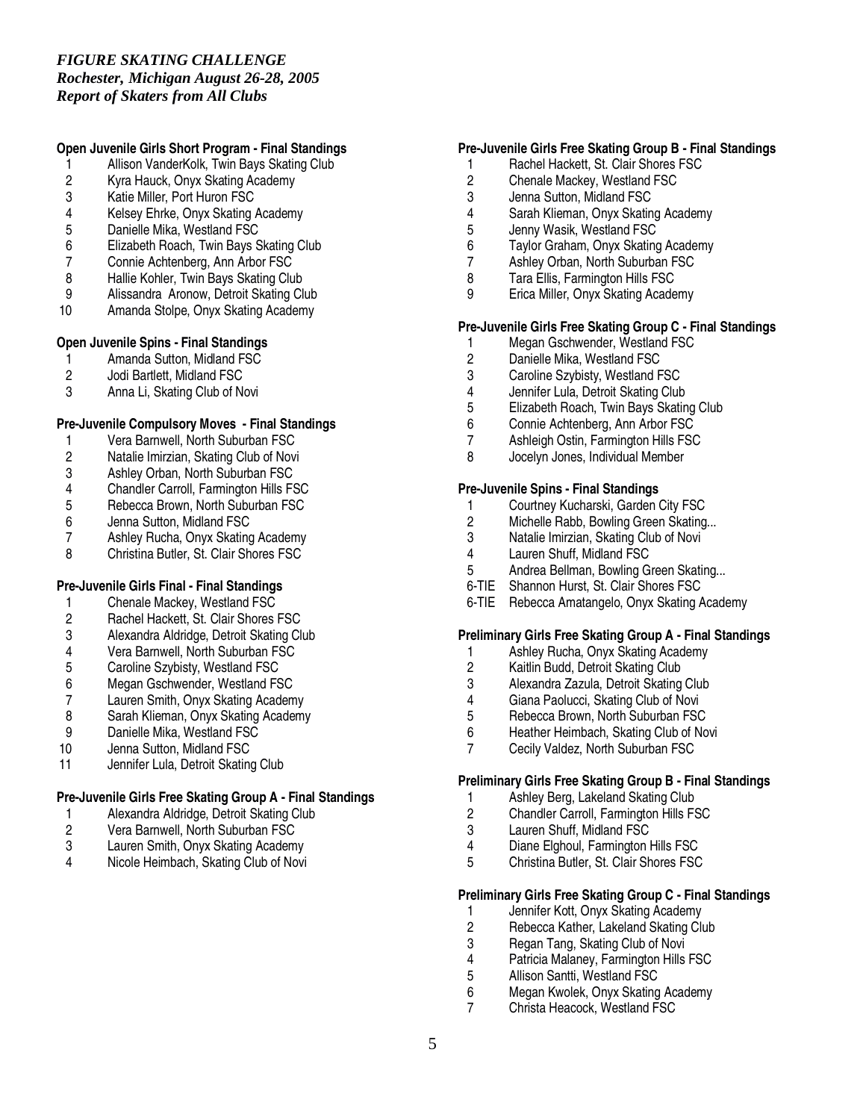# *FIGURE SKATING CHALLENGE*

*Rochester, Michigan August 26-28, 2005 Report of Skaters from All Clubs*

# **Open Juvenile Girls Short Program - Final Standings**

- 1 Allison VanderKolk, Twin Bays Skating Club<br>2 Kyra Hauck, Onyx Skating Academy
- 2 Kyra Hauck, Onyx Skating Academy<br>3 Katie Miller. Port Huron FSC
- Katie Miller, Port Huron FSC
- 4 Kelsey Ehrke, Onyx Skating Academy<br>5 Danielle Mika, Westland FSC
- 5 Danielle Mika, Westland FSC<br>6 Elizabeth Roach. Twin Bays S
- 6 Elizabeth Roach, Twin Bays Skating Club
- 7 Connie Achtenberg, Ann Arbor FSC
- 8 Hallie Kohler, Twin Bays Skating Club<br>9 Alissandra Aronow. Detroit Skating Cl
- 9 Alissandra Aronow, Detroit Skating Club<br>10 Amanda Stolpe, Onyx Skating Academy
- Amanda Stolpe, Onyx Skating Academy

# **Open Juvenile Spins - Final Standings**

- 1 Amanda Sutton, Midland FSC<br>2 Jodi Bartlett. Midland FSC
- 2 Jodi Bartlett, Midland FSC<br>3 Anna Li. Skating Club of N
- Anna Li, Skating Club of Novi

# **Pre-Juvenile Compulsory Moves - Final Standings**

- 1 Vera Barnwell, North Suburban FSC<br>2 Natalie Imirzian, Skating Club of Nov
- 2 Natalie Imirzian, Skating Club of Novi
- 3 Ashley Orban, North Suburban FSC<br>4 Chandler Carroll. Farmington Hills FS
- 4 Chandler Carroll, Farmington Hills FSC<br>5 Rebecca Brown. North Suburban FSC
- 5 Rebecca Brown, North Suburban FSC<br>6 Jenna Sutton, Midland FSC
- Jenna Sutton, Midland FSC
- 7 Ashley Rucha, Onyx Skating Academy<br>8 Christina Butler, St. Clair Shores FSC
- 8 Christina Butler, St. Clair Shores FSC

# **Pre-Juvenile Girls Final - Final Standings**

- 1 Chenale Mackey, Westland FSC<br>2 Rachel Hackett. St. Clair Shores
- Rachel Hackett, St. Clair Shores FSC
- 3 Alexandra Aldridge, Detroit Skating Club
- 4 Vera Barnwell, North Suburban FSC<br>5 Caroline Szybisty. Westland FSC
- 5 Caroline Szybisty, Westland FSC<br>6 Megan Gschwender, Westland FS
- 6 Megan Gschwender, Westland FSC
- 7 Lauren Smith, Onyx Skating Academy<br>8 Sarah Klieman, Onyx Skating Academy
- 8 Sarah Klieman, Onyx Skating Academy<br>9 Danielle Mika. Westland FSC
- 9 Danielle Mika, Westland FSC<br>10 Jenna Sutton. Midland FSC
- Jenna Sutton, Midland FSC
- 11 Jennifer Lula, Detroit Skating Club

# **Pre-Juvenile Girls Free Skating Group A - Final Standings**

- 
- 1 Alexandra Aldridge, Detroit Skating Club<br>2 Vera Barnwell, North Suburban FSC 2 Vera Barnwell, North Suburban FSC<br>3 Lauren Smith. Onvx Skating Academy
- Lauren Smith, Onyx Skating Academy
- 4 Nicole Heimbach, Skating Club of Novi

# **Pre-Juvenile Girls Free Skating Group B - Final Standings**

- 1 Rachel Hackett, St. Clair Shores FSC<br>2 Chenale Mackev. Westland FSC
- 2 Chenale Mackey, Westland FSC<br>3 Jenna Sutton. Midland FSC
- Jenna Sutton, Midland FSC
- 4 Sarah Klieman, Onyx Skating Academy<br>5 Jenny Wasik. Westland FSC
- 5 Jenny Wasik, Westland FSC<br>6 Tavlor Graham, Onvx Skating
- Taylor Graham, Onyx Skating Academy
- 7 Ashley Orban, North Suburban FSC
- 8 Tara Ellis, Farmington Hills FSC<br>9 Frica Miller Onyx Skating Acade
- 9 Erica Miller, Onyx Skating Academy

# **Pre-Juvenile Girls Free Skating Group C - Final Standings**

- 1 Megan Gschwender, Westland FSC<br>2 Danielle Mika. Westland FSC
- 2 Danielle Mika, Westland FSC<br>3 Caroline Szybisty. Westland F
- 3 Caroline Szybisty, Westland FSC<br>4 Jennifer Lula, Detroit Skating Club
- 4 Jennifer Lula, Detroit Skating Club<br>5 Elizabeth Roach, Twin Bays Skatin
- 5 Elizabeth Roach, Twin Bays Skating Club
- 6 Connie Achtenberg, Ann Arbor FSC
- 7 Ashleigh Ostin, Farmington Hills FSC<br>8 . Jocelyn Jones, Individual Member
- Jocelyn Jones, Individual Member

# **Pre-Juvenile Spins - Final Standings**

- 1 Courtney Kucharski, Garden City FSC<br>2 Michelle Rabb. Bowling Green Skating
- 2 Michelle Rabb, Bowling Green Skating...<br>3 Natalie Imirzian, Skating Club of Novi
- 3 Natalie Imirzian, Skating Club of Novi<br>4 Lauren Shuff Midland FSC
- 4 Lauren Shuff, Midland FSC<br>5 Andrea Bellman. Bowling G
- 5 Andrea Bellman, Bowling Green Skating...
- 6-TIE Shannon Hurst, St. Clair Shores FSC
- 6-TIE Rebecca Amatangelo, Onyx Skating Academy

# **Preliminary Girls Free Skating Group A - Final Standings**

- 1 Ashley Rucha, Onyx Skating Academy<br>2 Kaitlin Budd. Detroit Skating Club
- 2 Kaitlin Budd, Detroit Skating Club<br>3 Alexandra Zazula, Detroit Skating
- 3 Alexandra Zazula, Detroit Skating Club
- 4 Giana Paolucci, Skating Club of Novi<br>5 Rebecca Brown, North Suburban FSC
- 5 Rebecca Brown, North Suburban FSC<br>6 Heather Heimbach, Skating Club of No
- 6 Heather Heimbach, Skating Club of Novi
- 7 Cecily Valdez, North Suburban FSC

# **Preliminary Girls Free Skating Group B - Final Standings**

- 1 Ashley Berg, Lakeland Skating Club<br>2 Chandler Carroll. Farmington Hills F.
- 2 Chandler Carroll, Farmington Hills FSC<br>3 Lauren Shuff Midland FSC
- 3 Lauren Shuff, Midland FSC<br>4 Diane Flohoul Farmington
- Diane Elghoul, Farmington Hills FSC
- 5 Christina Butler, St. Clair Shores FSC

# **Preliminary Girls Free Skating Group C - Final Standings**

- 
- 1 Jennifer Kott, Onyx Skating Academy<br>2 Rebecca Kather, Lakeland Skating Cl
- 2 Rebecca Kather, Lakeland Skating Club<br>3 Regan Tang, Skating Club of Novi
- 3 Regan Tang, Skating Club of Novi<br>4 Patricia Malanev. Farmington Hills 4 Patricia Malaney, Farmington Hills FSC<br>5 Allison Santti. Westland FSC
- 
- 5 Allison Santti, Westland FSC<br>6 Megan Kwolek, Onvx Skating 6 Megan Kwolek, Onyx Skating Academy<br>7 Christa Heacock Westland FSC
- 7 Christa Heacock, Westland FSC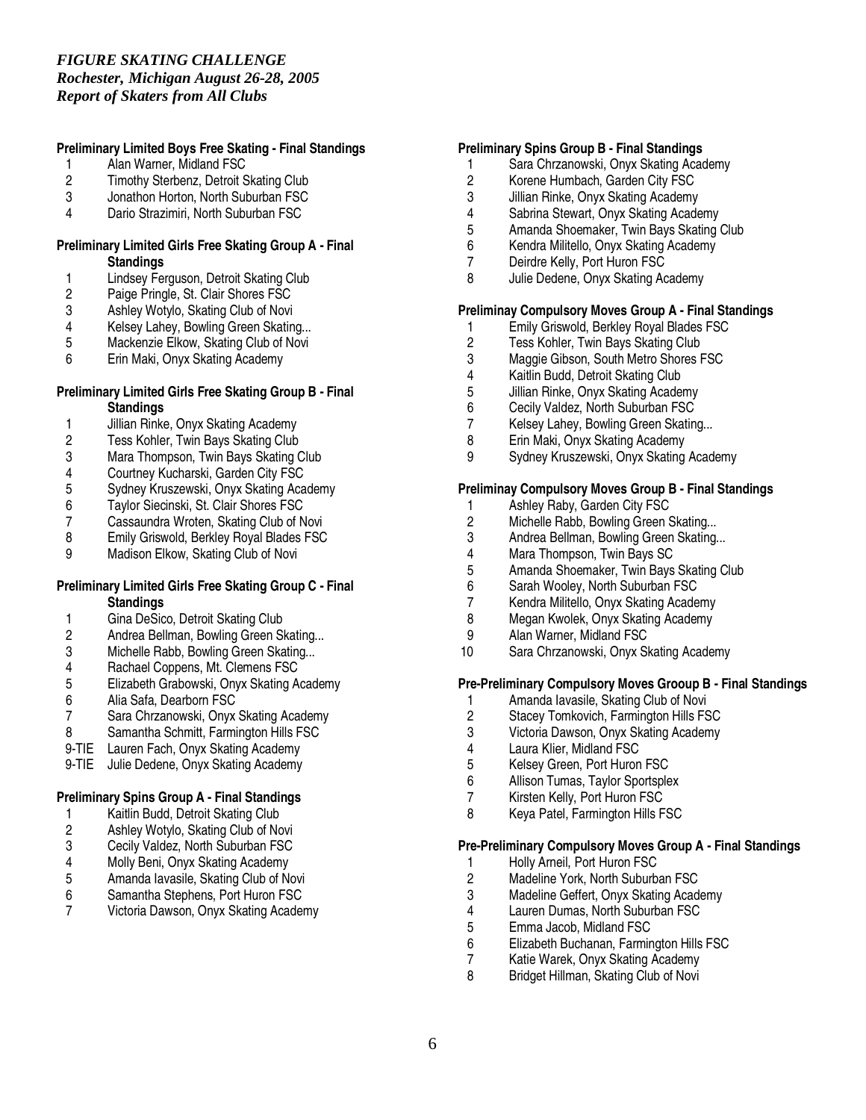# **Preliminary Limited Boys Free Skating - Final Standings**

- 1 Alan Warner, Midland FSC<br>2 Timothy Sterbenz, Detroit S
- 2 Timothy Sterbenz, Detroit Skating Club<br>3 Jonathon Horton. North Suburban FSC
- 3 Jonathon Horton, North Suburban FSC
- 4 Dario Strazimiri, North Suburban FSC

#### **Preliminary Limited Girls Free Skating Group A - Final Standings**

- 1 Lindsey Ferguson, Detroit Skating Club<br>2 Paige Pringle, St. Clair Shores FSC
- 2 Paige Pringle, St. Clair Shores FSC<br>3 Ashley Wotylo, Skating Club of Novi
- 3 Ashley Wotylo, Skating Club of Novi<br>4 Kelsey Lahey, Bowling Green Skatin
- 4 Kelsey Lahey, Bowling Green Skating...<br>5 Mackenzie Elkow, Skating Club of Novi
- 5 Mackenzie Elkow, Skating Club of Novi<br>6 Erin Maki. Onvx Skating Academy
- Erin Maki, Onyx Skating Academy

#### **Preliminary Limited Girls Free Skating Group B - Final Standings**

- 1 Jillian Rinke, Onyx Skating Academy<br>2 Tess Kohler, Twin Bays Skating Club
- 2 Tess Kohler, Twin Bays Skating Club<br>3 Mara Thompson. Twin Bays Skating C
- Mara Thompson, Twin Bays Skating Club
- 4 Courtney Kucharski, Garden City FSC<br>5 Sydney Kruszewski, Onyx Skating Aca
- 5 Sydney Kruszewski, Onyx Skating Academy<br>6 Taylor Siecinski, St. Clair Shores FSC
- 6 Taylor Siecinski, St. Clair Shores FSC
- 7 Cassaundra Wroten, Skating Club of Novi<br>8 Emily Griswold, Berkley Royal Blades FSC
- 8 Emily Griswold, Berkley Royal Blades FSC<br>9 Madison Elkow, Skating Club of Novi
- Madison Elkow, Skating Club of Novi

#### **Preliminary Limited Girls Free Skating Group C - Final Standings**

- 1 Gina DeSico, Detroit Skating Club
- 2 Andrea Bellman, Bowling Green Skating...
- 3 Michelle Rabb, Bowling Green Skating...<br>4 Rachael Coppens. Mt. Clemens FSC
- 4 Rachael Coppens, Mt. Clemens FSC<br>5 Elizabeth Grabowski, Onyx Skating Ar
- 5 Elizabeth Grabowski, Onyx Skating Academy
- 6 Alia Safa, Dearborn FSC
- 7 Sara Chrzanowski, Onyx Skating Academy<br>8 Samantha Schmitt. Farmington Hills FSC
- 8 Samantha Schmitt, Farmington Hills FSC
- 9-TIE Lauren Fach, Onyx Skating Academy
- 9-TIE Julie Dedene, Onyx Skating Academy

# **Preliminary Spins Group A - Final Standings**

- 
- 1 Kaitlin Budd, Detroit Skating Club<br>2 Ashley Wotylo, Skating Club of No 2 Ashley Wotylo, Skating Club of Novi<br>3 Cecily Valdez, North Suburban FSC
- 3 Cecily Valdez, North Suburban FSC<br>4 Molly Beni, Onyx Skating Academy
- 4 Molly Beni, Onyx Skating Academy<br>5 Amanda lavasile, Skating Club of No
- 5 Amanda Iavasile, Skating Club of Novi
- 6 Samantha Stephens, Port Huron FSC
- 7 Victoria Dawson, Onyx Skating Academy

#### **Preliminary Spins Group B - Final Standings**

- 1 Sara Chrzanowski, Onyx Skating Academy<br>2 Korene Humbach. Garden City FSC
- 2 Korene Humbach, Garden City FSC<br>3 Jillian Rinke. Onvx Skating Academy
- 3 Jillian Rinke, Onyx Skating Academy
- 
- 4 Sabrina Stewart, Onyx Skating Academy 5 Amanda Shoemaker, Twin Bays Skating Club
- 6 Kendra Militello, Onyx Skating Academy
- 7 Deirdre Kelly, Port Huron FSC
- 8 Julie Dedene, Onyx Skating Academy

# **Preliminay Compulsory Moves Group A - Final Standings**

- 1 Emily Griswold, Berkley Royal Blades FSC<br>2 Tess Kohler, Twin Bays Skating Club
- 2 Tess Kohler, Twin Bays Skating Club<br>3 Maggie Gibson, South Metro Shores I
- 3 Maggie Gibson, South Metro Shores FSC<br>4 Kaitlin Budd. Detroit Skating Club
- 4 Kaitlin Budd, Detroit Skating Club<br>5 Jillian Rinke, Onvx Skating Acader
- 5 Jillian Rinke, Onyx Skating Academy<br>6 Cecily Valdez, North Suburban FSC
- 
- 6 Cecily Valdez, North Suburban FSC Kelsey Lahey, Bowling Green Skating...
- 8 Erin Maki, Onyx Skating Academy<br>9 Sydney Kruszewski, Onyx Skating
- Sydney Kruszewski, Onyx Skating Academy

# **Preliminay Compulsory Moves Group B - Final Standings**

- 1 Ashley Raby, Garden City FSC<br>2 Michelle Rabb, Bowling Green 9
- 2 Michelle Rabb, Bowling Green Skating...<br>3 Andrea Bellman, Bowling Green Skating.
- 3 Andrea Bellman, Bowling Green Skating...<br>4 Mara Thompson. Twin Bavs SC
- 
- 4 Mara Thompson, Twin Bays SC<br>5 Amanda Shoemaker. Twin Bays 5 Amanda Shoemaker, Twin Bays Skating Club<br>6 Sarah Woolev. North Suburban FSC
	- Sarah Wooley, North Suburban FSC
	- 7 Kendra Militello, Onyx Skating Academy
	- Megan Kwolek, Onyx Skating Academy
	- 9 Alan Warner, Midland FSC
- 10 Sara Chrzanowski, Onyx Skating Academy

# **Pre-Preliminary Compulsory Moves Grooup B - Final Standings**

- 1 Amanda Iavasile, Skating Club of Novi<br>2 Stacey Tomkovich, Farmington Hills FS
- 
- 2 Stacey Tomkovich, Farmington Hills FSC<br>3 Victoria Dawson, Onyx Skating Academy 3 Victoria Dawson, Onyx Skating Academy
- 4 Laura Klier, Midland FSC<br>5 Kelsev Green. Port Huron
- 5 Kelsey Green, Port Huron FSC<br>6 Allison Tumas, Taylor Sportsple
- 6 Allison Tumas, Taylor Sportsplex<br>7 Kirsten Kelly. Port Huron FSC
- Kirsten Kelly, Port Huron FSC
- 8 Keya Patel, Farmington Hills FSC

#### **Pre-Preliminary Compulsory Moves Group A - Final Standings**

- 1 Holly Arneil, Port Huron FSC<br>2 Madeline York, North Suburb
- 2 Madeline York, North Suburban FSC<br>3 Madeline Geffert, Onyx Skating Acad
- Madeline Geffert, Onyx Skating Academy
- 4 Lauren Dumas, North Suburban FSC<br>5 Emma Jacob, Midland FSC
- 5 Emma Jacob, Midland FSC<br>6 Elizabeth Buchanan, Farmin
- 6 Elizabeth Buchanan, Farmington Hills FSC
- 7 Katie Warek, Onyx Skating Academy<br>8 Bridget Hillman, Skating Club of Novi
- 8 Bridget Hillman, Skating Club of Novi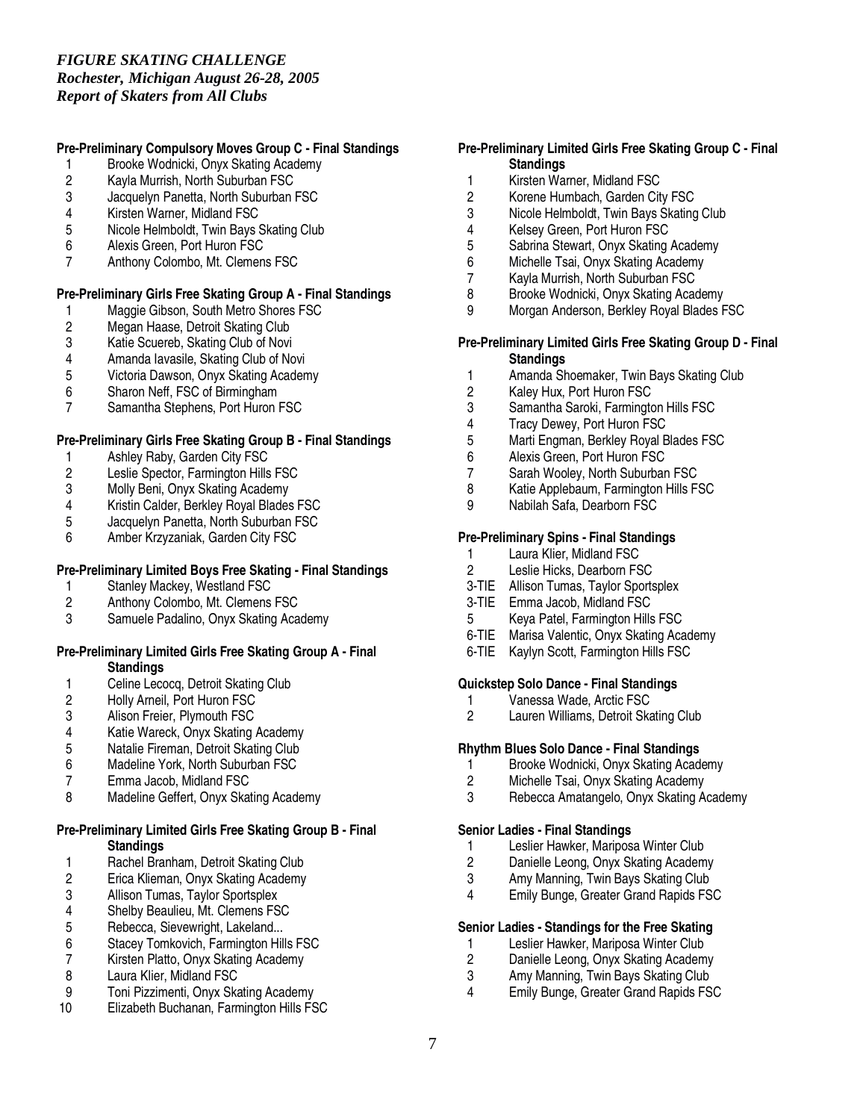# *FIGURE SKATING CHALLENGE Rochester, Michigan August 26-28, 2005 Report of Skaters from All Clubs*

# **Pre-Preliminary Compulsory Moves Group C - Final Standings**

- 1 Brooke Wodnicki, Onyx Skating Academy<br>2 Kayla Murrish, North Suburban FSC
- 2 Kayla Murrish, North Suburban FSC
- Jacquelyn Panetta, North Suburban FSC
- 4 Kirsten Warner, Midland FSC<br>5 Nicole Helmboldt. Twin Bavs 9
- 5 Nicole Helmboldt, Twin Bays Skating Club<br>6 Alexis Green. Port Huron FSC
- 6 Alexis Green, Port Huron FSC
- 7 Anthony Colombo, Mt. Clemens FSC

# **Pre-Preliminary Girls Free Skating Group A - Final Standings**

- 1 Maggie Gibson, South Metro Shores FSC<br>2 Megan Haase, Detroit Skating Club
- 2 Megan Haase, Detroit Skating Club<br>3 Katie Scuereb, Skating Club of Novi
- 3 Katie Scuereb, Skating Club of Novi<br>4 Amanda lavasile. Skating Club of No
- 4 Amanda Iavasile, Skating Club of Novi<br>5 Victoria Dawson. Onvx Skating Acaden
- 5 Victoria Dawson, Onyx Skating Academy
- 6 Sharon Neff, FSC of Birmingham
- Samantha Stephens, Port Huron FSC

# **Pre-Preliminary Girls Free Skating Group B - Final Standings**

- 1 Ashley Raby, Garden City FSC
- 2 Leslie Spector, Farmington Hills FSC
- 3 Molly Beni, Onyx Skating Academy<br>4 Kristin Calder. Berklev Roval Blades
- 4 Kristin Calder, Berkley Royal Blades FSC<br>5 Jacquelyn Panetta, North Suburban FSC
- 5 Jacquelyn Panetta, North Suburban FSC
- 6 Amber Krzyzaniak, Garden City FSC

# **Pre-Preliminary Limited Boys Free Skating - Final Standings**

- 1 Stanley Mackey, Westland FSC<br>2 Anthony Colombo, Mt. Clemens
- 2 Anthony Colombo, Mt. Clemens FSC<br>3 Samuele Padalino, Onvx Skating Aca
- Samuele Padalino, Onyx Skating Academy

#### **Pre-Preliminary Limited Girls Free Skating Group A - Final Standings**

- 1 Celine Lecocq, Detroit Skating Club<br>2 Holly Arneil, Port Huron FSC
- 2 Holly Arneil, Port Huron FSC<br>3 Alison Freier, Plymouth FSC
- 3 Alison Freier, Plymouth FSC<br>4 Katie Wareck. Onvx Skating
- 4 Katie Wareck, Onyx Skating Academy<br>5 Natalie Fireman. Detroit Skating Club
- 5 Natalie Fireman, Detroit Skating Club<br>6 Madeline York. North Suburban FSC
- 6 Madeline York, North Suburban FSC<br>7 Emma Jacob, Midland FSC
- Emma Jacob, Midland FSC
- 8 Madeline Geffert, Onyx Skating Academy

# **Pre-Preliminary Limited Girls Free Skating Group B - Final Standings**

- 1 Rachel Branham, Detroit Skating Club<br>2 Erica Klieman, Onyx Skating Academy
- 2 Erica Klieman, Onyx Skating Academy<br>3 Allison Tumas, Taylor Sportsplex
- Allison Tumas, Taylor Sportsplex
- 4 Shelby Beaulieu, Mt. Clemens FSC<br>5 Rebecca, Sievewright, Lakeland...
- 5 Rebecca, Sievewright, Lakeland...<br>6 Stacev Tomkovich. Farmington Hill
- 6 Stacey Tomkovich, Farmington Hills FSC<br>7 Kirsten Platto. Onvx Skating Academy
- Kirsten Platto, Onyx Skating Academy
- 8 Laura Klier, Midland FSC<br>9 Toni Pizzimenti, Onvx Ska
- 9 Toni Pizzimenti, Onyx Skating Academy
- 10 Elizabeth Buchanan, Farmington Hills FSC

# **Pre-Preliminary Limited Girls Free Skating Group C - Final Standings**

- 1 Kirsten Warner, Midland FSC<br>2 Korene Humbach. Garden Cit
- 2 Korene Humbach, Garden City FSC
- 3 Nicole Helmboldt, Twin Bays Skating Club<br>4 Kelsey Green, Port Huron FSC
- 4 Kelsey Green, Port Huron FSC<br>5 Sabrina Stewart. Onvx Skating
- 5 Sabrina Stewart, Onyx Skating Academy
- 6 Michelle Tsai, Onyx Skating Academy
- 7 Kayla Murrish, North Suburban FSC<br>8 Brooke Wodnicki Onyx Skating Acad
- 8 Brooke Wodnicki, Onyx Skating Academy
- 9 Morgan Anderson, Berkley Royal Blades FSC

#### **Pre-Preliminary Limited Girls Free Skating Group D - Final Standings**

- 1 Amanda Shoemaker, Twin Bays Skating Club
- 2 Kaley Hux, Port Huron FSC<br>3 Samantha Saroki, Farmingto
- 3 Samantha Saroki, Farmington Hills FSC
- 4 Tracy Dewey, Port Huron FSC
- 5 Marti Engman, Berkley Royal Blades FSC<br>6 Alexis Green Port Huron FSC
- 6 Alexis Green, Port Huron FSC
- 7 Sarah Wooley, North Suburban FSC
- 8 Katie Applebaum, Farmington Hills FSC<br>9 Nabilah Safa. Dearborn FSC
- Nabilah Safa, Dearborn FSC

# **Pre-Preliminary Spins - Final Standings**

- 1 Laura Klier, Midland FSC<br>2 Leslie Hicks, Dearborn FS
- Leslie Hicks, Dearborn FSC
- 3-TIE Allison Tumas, Taylor Sportsplex
- 3-TIE Emma Jacob, Midland FSC
- 5 Keya Patel, Farmington Hills FSC
- 6-TIE Marisa Valentic, Onyx Skating Academy
- 6-TIE Kaylyn Scott, Farmington Hills FSC

# **Quickstep Solo Dance - Final Standings**

- 1 Vanessa Wade, Arctic FSC<br>2 Lauren Williams. Detroit Ska
- Lauren Williams, Detroit Skating Club

# **Rhythm Blues Solo Dance - Final Standings**

- 1 Brooke Wodnicki, Onyx Skating Academy<br>2 Michelle Tsai, Onyx Skating Academy
- Michelle Tsai, Onyx Skating Academy
- 3 Rebecca Amatangelo, Onyx Skating Academy

# **Senior Ladies - Final Standings**

- 1 Leslier Hawker, Mariposa Winter Club<br>2 Danielle Leong, Onyx Skating Academ
- 2 Danielle Leong, Onyx Skating Academy<br>3 Amy Manning. Twin Bays Skating Club
- 3 Amy Manning, Twin Bays Skating Club<br>4 Fmily Bunge Greater Grand Bapids FS
- Emily Bunge, Greater Grand Rapids FSC

# **Senior Ladies - Standings for the Free Skating**

- 1 Leslier Hawker, Mariposa Winter Club<br>2 Danielle Leong, Onvx Skating Academ
- 2 Danielle Leong, Onyx Skating Academy
- 3 Amy Manning, Twin Bays Skating Club<br>4 Emily Bunge, Greater Grand Rapids FS
- **Emily Bunge, Greater Grand Rapids FSC**